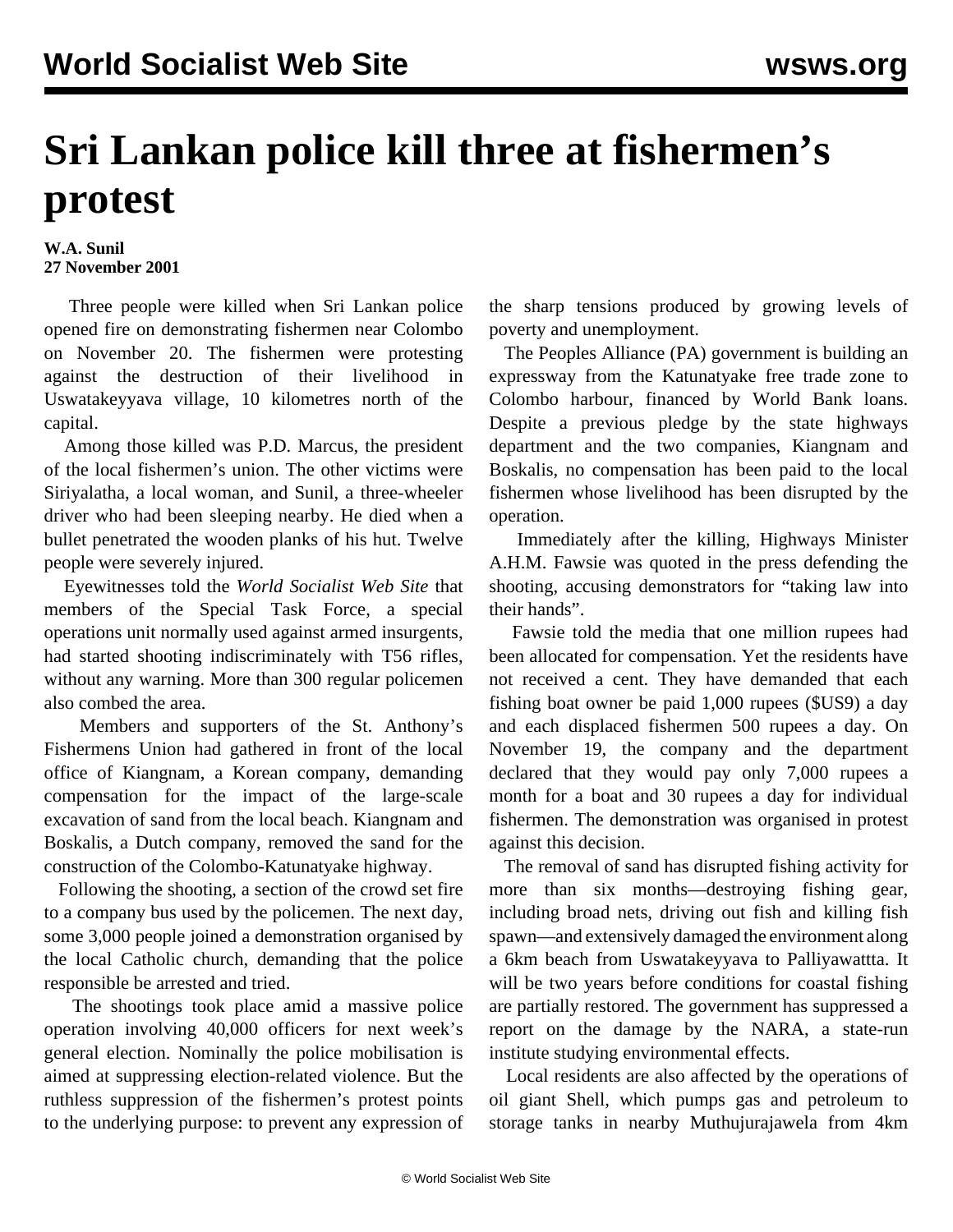## **Sri Lankan police kill three at fishermen's protest**

## **W.A. Sunil 27 November 2001**

 Three people were killed when Sri Lankan police opened fire on demonstrating fishermen near Colombo on November 20. The fishermen were protesting against the destruction of their livelihood in Uswatakeyyava village, 10 kilometres north of the capital.

 Among those killed was P.D. Marcus, the president of the local fishermen's union. The other victims were Siriyalatha, a local woman, and Sunil, a three-wheeler driver who had been sleeping nearby. He died when a bullet penetrated the wooden planks of his hut. Twelve people were severely injured.

 Eyewitnesses told the *World Socialist Web Site* that members of the Special Task Force, a special operations unit normally used against armed insurgents, had started shooting indiscriminately with T56 rifles, without any warning. More than 300 regular policemen also combed the area.

 Members and supporters of the St. Anthony's Fishermens Union had gathered in front of the local office of Kiangnam, a Korean company, demanding compensation for the impact of the large-scale excavation of sand from the local beach. Kiangnam and Boskalis, a Dutch company, removed the sand for the construction of the Colombo-Katunatyake highway.

 Following the shooting, a section of the crowd set fire to a company bus used by the policemen. The next day, some 3,000 people joined a demonstration organised by the local Catholic church, demanding that the police responsible be arrested and tried.

 The shootings took place amid a massive police operation involving 40,000 officers for next week's general election. Nominally the police mobilisation is aimed at suppressing election-related violence. But the ruthless suppression of the fishermen's protest points to the underlying purpose: to prevent any expression of the sharp tensions produced by growing levels of poverty and unemployment.

 The Peoples Alliance (PA) government is building an expressway from the Katunatyake free trade zone to Colombo harbour, financed by World Bank loans. Despite a previous pledge by the state highways department and the two companies, Kiangnam and Boskalis, no compensation has been paid to the local fishermen whose livelihood has been disrupted by the operation.

 Immediately after the killing, Highways Minister A.H.M. Fawsie was quoted in the press defending the shooting, accusing demonstrators for "taking law into their hands".

 Fawsie told the media that one million rupees had been allocated for compensation. Yet the residents have not received a cent. They have demanded that each fishing boat owner be paid 1,000 rupees (\$US9) a day and each displaced fishermen 500 rupees a day. On November 19, the company and the department declared that they would pay only 7,000 rupees a month for a boat and 30 rupees a day for individual fishermen. The demonstration was organised in protest against this decision.

 The removal of sand has disrupted fishing activity for more than six months—destroying fishing gear, including broad nets, driving out fish and killing fish spawn—and extensively damaged the environment along a 6km beach from Uswatakeyyava to Palliyawattta. It will be two years before conditions for coastal fishing are partially restored. The government has suppressed a report on the damage by the NARA, a state-run institute studying environmental effects.

 Local residents are also affected by the operations of oil giant Shell, which pumps gas and petroleum to storage tanks in nearby Muthujurajawela from 4km